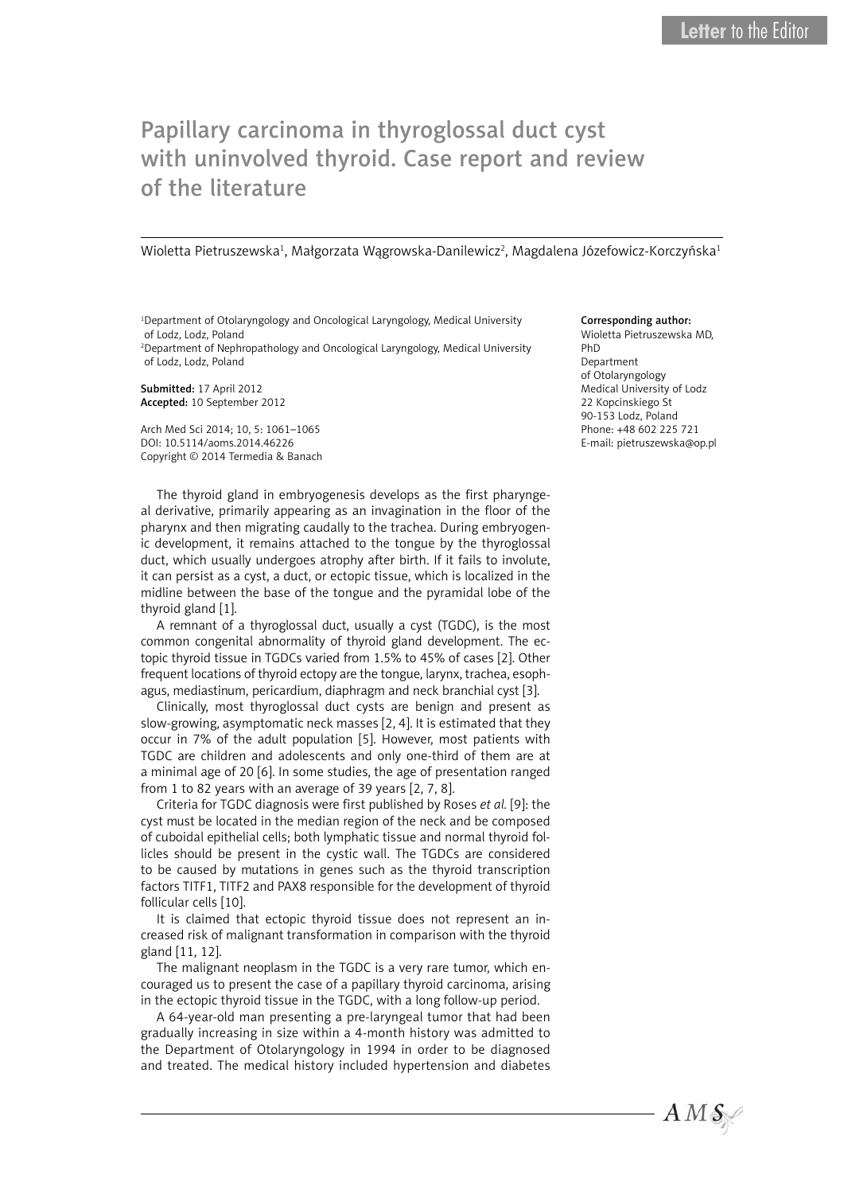## Papillary carcinoma in thyroglossal duct cyst with uninvolved thyroid. Case report and review of the literature

Wioletta Pietruszewska<sup>1</sup>, Małgorzata Wągrowska-Danilewicz<sup>2</sup>, Magdalena Józefowicz-Korczyńska<sup>1</sup>

1 Department of Otolaryngology and Oncological Laryngology, Medical University of Lodz, Lodz, Poland 2 Department of Nephropathology and Oncological Laryngology, Medical University of Lodz, Lodz, Poland

Submitted: 17 April 2012 Accepted: 10 September 2012

Arch Med Sci 2014; 10, 5: 1061–1065 DOI: 10.5114/aoms.2014.46226 Copyright © 2014 Termedia & Banach

The thyroid gland in embryogenesis develops as the first pharyngeal derivative, primarily appearing as an invagination in the floor of the pharynx and then migrating caudally to the trachea. During embryogenic development, it remains attached to the tongue by the thyroglossal duct, which usually undergoes atrophy after birth. If it fails to involute, it can persist as a cyst, a duct, or ectopic tissue, which is localized in the midline between the base of the tongue and the pyramidal lobe of the thyroid gland [1].

A remnant of a thyroglossal duct, usually a cyst (TGDC), is the most common congenital abnormality of thyroid gland development. The ectopic thyroid tissue in TGDCs varied from 1.5% to 45% of cases [2]. Other frequent locations of thyroid ectopy are the tongue, larynx, trachea, esophagus, mediastinum, pericardium, diaphragm and neck branchial cyst [3].

Clinically, most thyroglossal duct cysts are benign and present as slow-growing, asymptomatic neck masses [2, 4]. It is estimated that they occur in 7% of the adult population [5]. However, most patients with TGDC are children and adolescents and only one-third of them are at a minimal age of 20 [6]. In some studies, the age of presentation ranged from 1 to 82 years with an average of 39 years [2, 7, 8].

Criteria for TGDC diagnosis were first published by Roses *et al.* [9]: the cyst must be located in the median region of the neck and be composed of cuboidal epithelial cells; both lymphatic tissue and normal thyroid follicles should be present in the cystic wall. The TGDCs are considered to be caused by mutations in genes such as the thyroid transcription factors TITF1, TITF2 and PAX8 responsible for the development of thyroid follicular cells [10].

It is claimed that ectopic thyroid tissue does not represent an increased risk of malignant transformation in comparison with the thyroid gland [11, 12].

The malignant neoplasm in the TGDC is a very rare tumor, which encouraged us to present the case of a papillary thyroid carcinoma, arising in the ectopic thyroid tissue in the TGDC, with a long follow-up period.

A 64-year-old man presenting a pre-laryngeal tumor that had been gradually increasing in size within a 4-month history was admitted to the Department of Otolaryngology in 1994 in order to be diagnosed and treated. The medical history included hypertension and diabetes

## Corresponding author:

Wioletta Pietruszewska MD, PhD Department of Otolaryngology Medical University of Lodz 22 Kopcinskiego St 90-153 Lodz, Poland Phone: +48 602 225 721 E-mail: pietruszewska@op.pl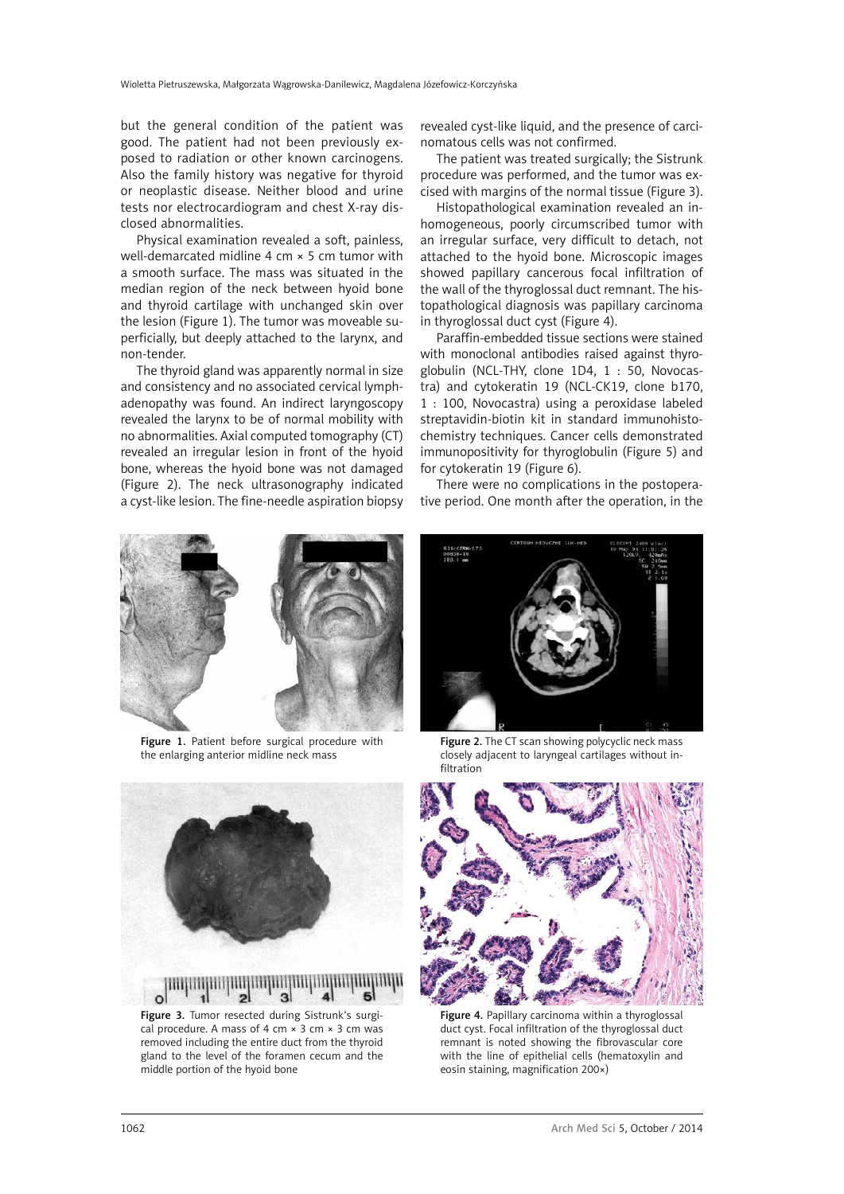but the general condition of the patient was good. The patient had not been previously exposed to radiation or other known carcinogens. Also the family history was negative for thyroid or neoplastic disease. Neither blood and urine tests nor electrocardiogram and chest X-ray disclosed abnormalities.

Physical examination revealed a soft, painless, well-demarcated midline 4 cm × 5 cm tumor with a smooth surface. The mass was situated in the median region of the neck between hyoid bone and thyroid cartilage with unchanged skin over the lesion (Figure 1). The tumor was moveable superficially, but deeply attached to the larynx, and non-tender.

The thyroid gland was apparently normal in size and consistency and no associated cervical lymphadenopathy was found. An indirect laryngoscopy revealed the larynx to be of normal mobility with no abnormalities. Axial computed tomography (CT) revealed an irregular lesion in front of the hyoid bone, whereas the hyoid bone was not damaged (Figure 2). The neck ultrasonography indicated a cyst-like lesion. The fine-needle aspiration biopsy revealed cyst-like liquid, and the presence of carcinomatous cells was not confirmed.

The patient was treated surgically; the Sistrunk procedure was performed, and the tumor was excised with margins of the normal tissue (Figure 3).

Histopathological examination revealed an inhomogeneous, poorly circumscribed tumor with an irregular surface, very difficult to detach, not attached to the hyoid bone. Microscopic images showed papillary cancerous focal infiltration of the wall of the thyroglossal duct remnant. The histopathological diagnosis was papillary carcinoma in thyroglossal duct cyst (Figure 4).

Paraffin-embedded tissue sections were stained with monoclonal antibodies raised against thyroglobulin (NCL-THY, clone 1D4, 1 : 50, Novocastra) and cytokeratin 19 (NCL-CK19, clone b170, 1 : 100, Novocastra) using a peroxidase labeled streptavidin-biotin kit in standard immunohistochemistry techniques. Cancer cells demonstrated immunopositivity for thyroglobulin (Figure 5) and for cytokeratin 19 (Figure 6).

There were no complications in the postoperative period. One month after the operation, in the



Figure 1. Patient before surgical procedure with the enlarging anterior midline neck mass



Figure 3. Tumor resected during Sistrunk's surgical procedure. A mass of 4 cm  $\times$  3 cm  $\times$  3 cm was removed including the entire duct from the thyroid gland to the level of the foramen cecum and the middle portion of the hyoid bone



Figure 2. The CT scan showing polycyclic neck mass closely adjacent to laryngeal cartilages without infiltration



Figure 4. Papillary carcinoma within a thyroglossal duct cyst. Focal infiltration of the thyroglossal duct remnant is noted showing the fibrovascular core with the line of epithelial cells (hematoxylin and eosin staining, magnification 200×)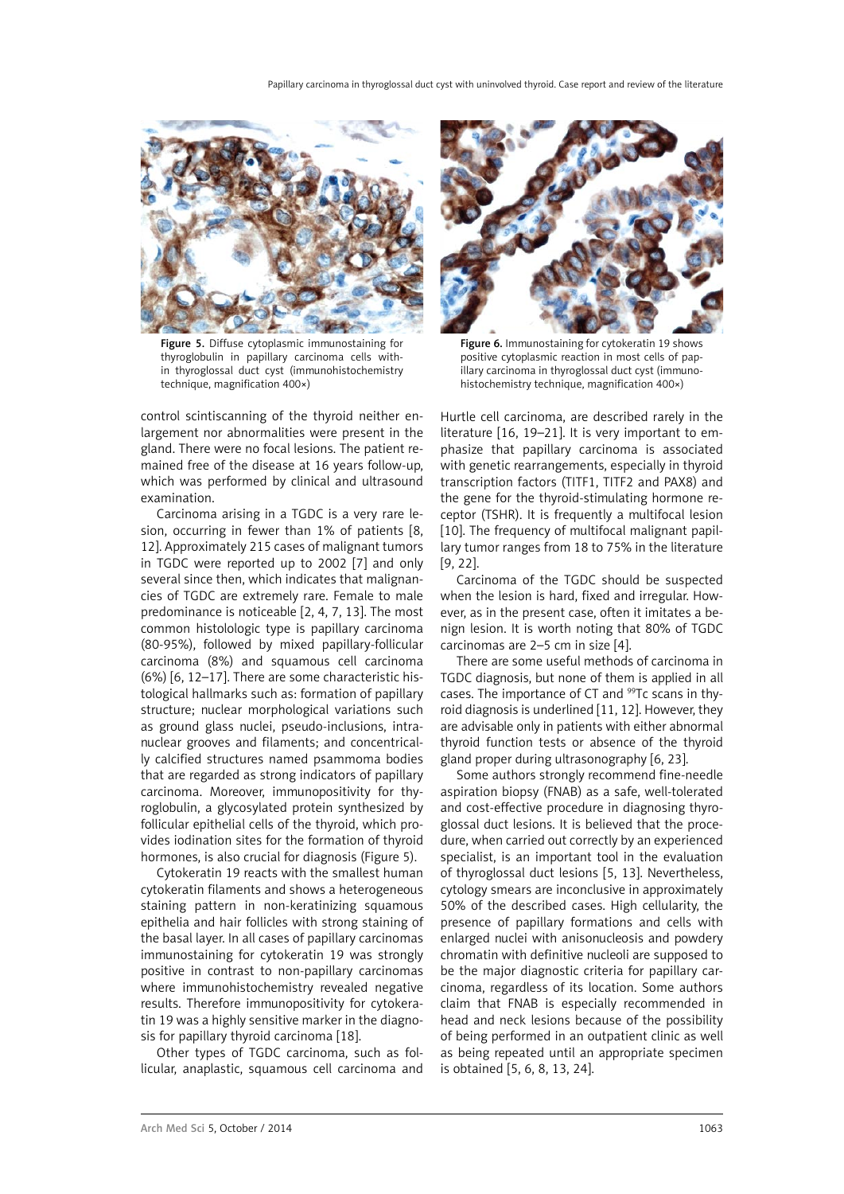

Figure 5. Diffuse cytoplasmic immunostaining for thyroglobulin in papillary carcinoma cells within thyroglossal duct cyst (immunohistochemistry technique, magnification 400×)

control scintiscanning of the thyroid neither enlargement nor abnormalities were present in the gland. There were no focal lesions. The patient remained free of the disease at 16 years follow-up, which was performed by clinical and ultrasound examination.

Carcinoma arising in a TGDC is a very rare lesion, occurring in fewer than 1% of patients [8, 12]. Approximately 215 cases of malignant tumors in TGDC were reported up to 2002 [7] and only several since then, which indicates that malignancies of TGDC are extremely rare. Female to male predominance is noticeable [2, 4, 7, 13]. The most common histolologic type is papillary carcinoma (80-95%), followed by mixed papillary-follicular carcinoma (8%) and squamous cell carcinoma (6%) [6, 12–17]. There are some characteristic histological hallmarks such as: formation of papillary structure; nuclear morphological variations such as ground glass nuclei, pseudo-inclusions, intranuclear grooves and filaments; and concentrically calcified structures named psammoma bodies that are regarded as strong indicators of papillary carcinoma. Moreover, immunopositivity for thyroglobulin, a glycosylated protein synthesized by follicular epithelial cells of the thyroid, which provides iodination sites for the formation of thyroid hormones, is also crucial for diagnosis (Figure 5).

Cytokeratin 19 reacts with the smallest human cytokeratin filaments and shows a heterogeneous staining pattern in non-keratinizing squamous epithelia and hair follicles with strong staining of the basal layer. In all cases of papillary carcinomas immunostaining for cytokeratin 19 was strongly positive in contrast to non-papillary carcinomas where immunohistochemistry revealed negative results. Therefore immunopositivity for cytokeratin 19 was a highly sensitive marker in the diagnosis for papillary thyroid carcinoma [18].

Other types of TGDC carcinoma, such as follicular, anaplastic, squamous cell carcinoma and



Figure 6. Immunostaining for cytokeratin 19 shows positive cytoplasmic reaction in most cells of papillary carcinoma in thyroglossal duct cyst (immunohistochemistry technique, magnification 400×)

Hurtle cell carcinoma, are described rarely in the literature [16, 19–21]. It is very important to emphasize that papillary carcinoma is associated with genetic rearrangements, especially in thyroid transcription factors (TITF1, TITF2 and PAX8) and the gene for the thyroid-stimulating hormone receptor (TSHR). It is frequently a multifocal lesion [10]. The frequency of multifocal malignant papillary tumor ranges from 18 to 75% in the literature [9, 22].

Carcinoma of the TGDC should be suspected when the lesion is hard, fixed and irregular. However, as in the present case, often it imitates a benign lesion. It is worth noting that 80% of TGDC carcinomas are 2–5 cm in size [4].

There are some useful methods of carcinoma in TGDC diagnosis, but none of them is applied in all cases. The importance of CT and <sup>99</sup>Tc scans in thyroid diagnosis is underlined [11, 12]. However, they are advisable only in patients with either abnormal thyroid function tests or absence of the thyroid gland proper during ultrasonography [6, 23].

Some authors strongly recommend fine-needle aspiration biopsy (FNAB) as a safe, well-tolerated and cost-effective procedure in diagnosing thyroglossal duct lesions. It is believed that the procedure, when carried out correctly by an experienced specialist, is an important tool in the evaluation of thyroglossal duct lesions [5, 13]. Nevertheless, cytology smears are inconclusive in approximately 50% of the described cases. High cellularity, the presence of papillary formations and cells with enlarged nuclei with anisonucleosis and powdery chromatin with definitive nucleoli are supposed to be the major diagnostic criteria for papillary carcinoma, regardless of its location. Some authors claim that FNAB is especially recommended in head and neck lesions because of the possibility of being performed in an outpatient clinic as well as being repeated until an appropriate specimen is obtained [5, 6, 8, 13, 24].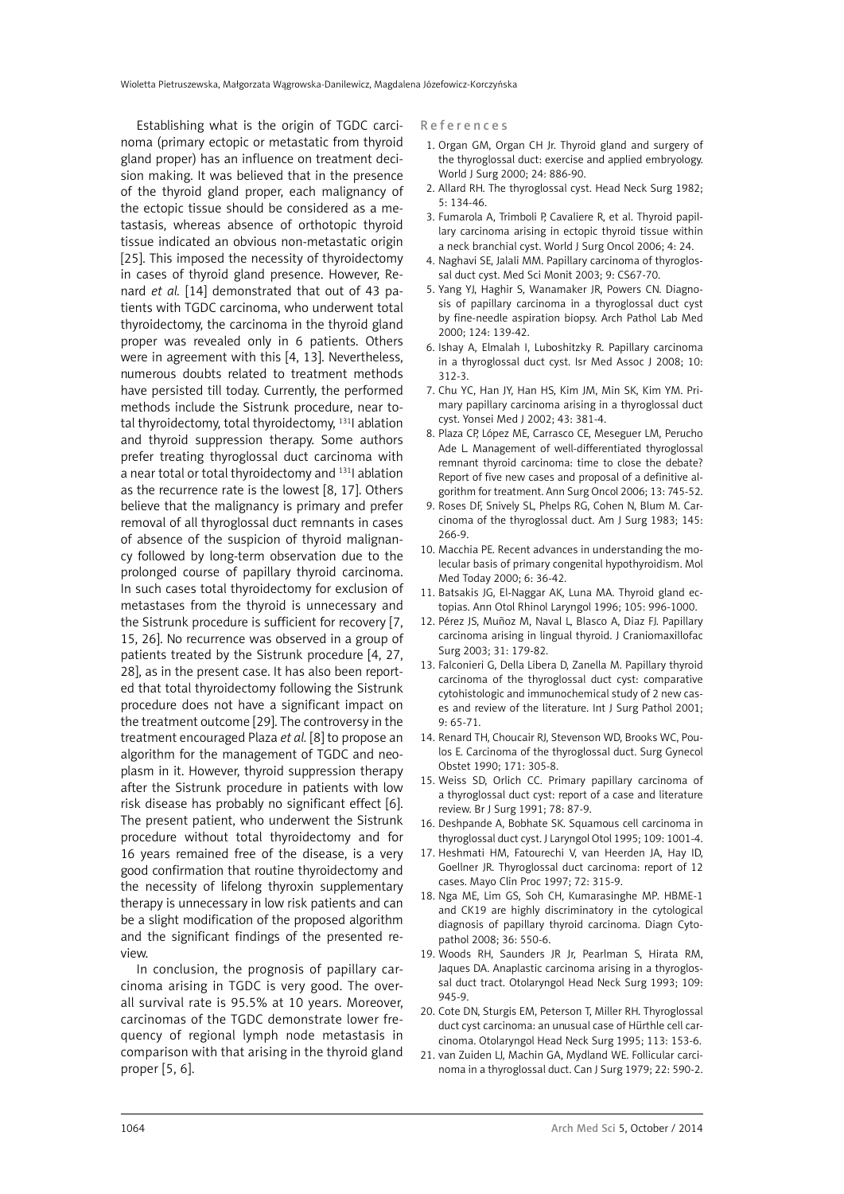Establishing what is the origin of TGDC carcinoma (primary ectopic or metastatic from thyroid gland proper) has an influence on treatment decision making. It was believed that in the presence of the thyroid gland proper, each malignancy of the ectopic tissue should be considered as a metastasis, whereas absence of orthotopic thyroid tissue indicated an obvious non-metastatic origin [25]. This imposed the necessity of thyroidectomy in cases of thyroid gland presence. However, Renard *et al.* [14] demonstrated that out of 43 patients with TGDC carcinoma, who underwent total thyroidectomy, the carcinoma in the thyroid gland proper was revealed only in 6 patients. Others were in agreement with this [4, 13]. Nevertheless, numerous doubts related to treatment methods have persisted till today. Currently, the performed methods include the Sistrunk procedure, near total thyroidectomy, total thyroidectomy, 131I ablation and thyroid suppression therapy. Some authors prefer treating thyroglossal duct carcinoma with a near total or total thyroidectomy and <sup>131</sup>l ablation as the recurrence rate is the lowest [8, 17]. Others believe that the malignancy is primary and prefer removal of all thyroglossal duct remnants in cases of absence of the suspicion of thyroid malignancy followed by long-term observation due to the prolonged course of papillary thyroid carcinoma. In such cases total thyroidectomy for exclusion of metastases from the thyroid is unnecessary and the Sistrunk procedure is sufficient for recovery [7, 15, 26]. No recurrence was observed in a group of patients treated by the Sistrunk procedure [4, 27, 28], as in the present case. It has also been reported that total thyroidectomy following the Sistrunk procedure does not have a significant impact on the treatment outcome [29]. The controversy in the treatment encouraged Plaza *et al.* [8] to propose an algorithm for the management of TGDC and neoplasm in it. However, thyroid suppression therapy after the Sistrunk procedure in patients with low risk disease has probably no significant effect [6]. The present patient, who underwent the Sistrunk procedure without total thyroidectomy and for 16 years remained free of the disease, is a very good confirmation that routine thyroidectomy and the necessity of lifelong thyroxin supplementary therapy is unnecessary in low risk patients and can be a slight modification of the proposed algorithm and the significant findings of the presented review.

In conclusion, the prognosis of papillary carcinoma arising in TGDC is very good. The overall survival rate is 95.5% at 10 years. Moreover, carcinomas of the TGDC demonstrate lower frequency of regional lymph node metastasis in comparison with that arising in the thyroid gland proper [5, 6].

References

- 1. Organ GM, Organ CH Jr. Thyroid gland and surgery of the thyroglossal duct: exercise and applied embryology. World J Surg 2000; 24: 886-90.
- 2. Allard RH. The thyroglossal cyst. Head Neck Surg 1982; 5: 134-46.
- 3. Fumarola A, Trimboli P, Cavaliere R, et al. Thyroid papillary carcinoma arising in ectopic thyroid tissue within a neck branchial cyst. World J Surg Oncol 2006; 4: 24.
- 4. Naghavi SE, Jalali MM. Papillary carcinoma of thyroglossal duct cyst. Med Sci Monit 2003; 9: CS67-70.
- 5. Yang YJ, Haghir S, Wanamaker JR, Powers CN. Diagnosis of papillary carcinoma in a thyroglossal duct cyst by fine-needle aspiration biopsy. Arch Pathol Lab Med 2000; 124: 139-42.
- 6. Ishay A, Elmalah I, Luboshitzky R. Papillary carcinoma in a thyroglossal duct cyst. Isr Med Assoc J 2008; 10: 312-3.
- 7. Chu YC, Han JY, Han HS, Kim JM, Min SK, Kim YM. Primary papillary carcinoma arising in a thyroglossal duct cyst. Yonsei Med J 2002; 43: 381-4.
- 8. Plaza CP, López ME, Carrasco CE, Meseguer LM, Perucho Ade L. Management of well-differentiated thyroglossal remnant thyroid carcinoma: time to close the debate? Report of five new cases and proposal of a definitive algorithm for treatment. Ann Surg Oncol 2006; 13: 745-52.
- 9. Roses DF, Snively SL, Phelps RG, Cohen N, Blum M. Carcinoma of the thyroglossal duct. Am J Surg 1983; 145: 266-9.
- 10. Macchia PE. Recent advances in understanding the molecular basis of primary congenital hypothyroidism. Mol Med Today 2000; 6: 36-42.
- 11. Batsakis JG, El-Naggar AK, Luna MA. Thyroid gland ectopias. Ann Otol Rhinol Laryngol 1996; 105: 996-1000.
- 12. Pérez JS, Muñoz M, Naval L, Blasco A, Diaz FJ. Papillary carcinoma arising in lingual thyroid. J Craniomaxillofac Surg 2003; 31: 179-82.
- 13. Falconieri G, Della Libera D, Zanella M. Papillary thyroid carcinoma of the thyroglossal duct cyst: comparative cytohistologic and immunochemical study of 2 new cases and review of the literature. Int J Surg Pathol 2001; 9: 65-71.
- 14. Renard TH, Choucair RJ, Stevenson WD, Brooks WC, Poulos E. Carcinoma of the thyroglossal duct. Surg Gynecol Obstet 1990; 171: 305-8.
- 15. Weiss SD, Orlich CC. Primary papillary carcinoma of a thyroglossal duct cyst: report of a case and literature review. Br J Surg 1991; 78: 87-9.
- 16. Deshpande A, Bobhate SK. Squamous cell carcinoma in thyroglossal duct cyst. J Laryngol Otol 1995; 109: 1001-4.
- 17. Heshmati HM, Fatourechi V, van Heerden JA, Hay ID, Goellner JR. Thyroglossal duct carcinoma: report of 12 cases. Mayo Clin Proc 1997; 72: 315-9.
- 18. Nga ME, Lim GS, Soh CH, Kumarasinghe MP. HBME-1 and CK19 are highly discriminatory in the cytological diagnosis of papillary thyroid carcinoma. Diagn Cytopathol 2008; 36: 550-6.
- 19. Woods RH, Saunders JR Jr, Pearlman S, Hirata RM, Jaques DA. Anaplastic carcinoma arising in a thyroglossal duct tract. Otolaryngol Head Neck Surg 1993; 109: 945-9.
- 20. Cote DN, Sturgis EM, Peterson T, Miller RH. Thyroglossal duct cyst carcinoma: an unusual case of Hürthle cell carcinoma. Otolaryngol Head Neck Surg 1995; 113: 153-6.
- 21. van Zuiden LJ, Machin GA, Mydland WE. Follicular carcinoma in a thyroglossal duct. Can J Surg 1979; 22: 590-2.